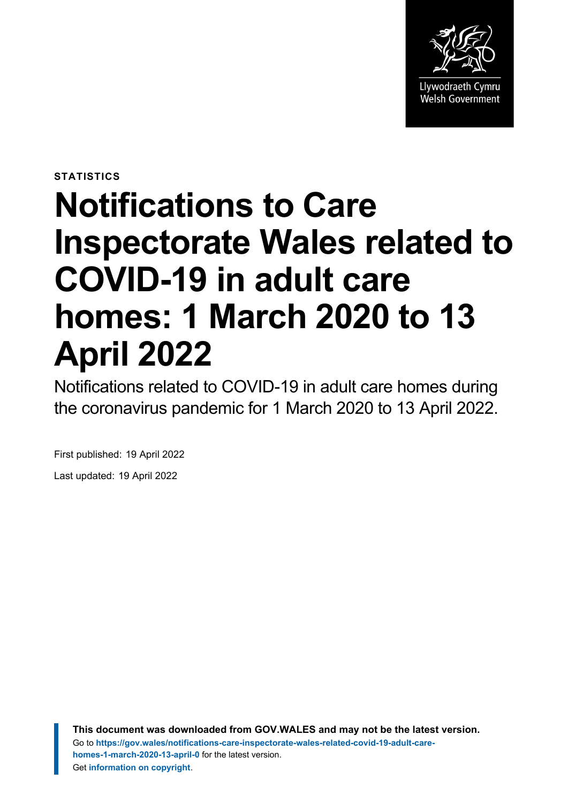

**STATISTICS**

# **Notifications to Care Inspectorate Wales related to COVID-19 in adult care homes: 1 March 2020 to 13 April 2022**

Notifications related to COVID-19 in adult care homes during the coronavirus pandemic for 1 March 2020 to 13 April 2022.

First published: 19 April 2022

Last updated: 19 April 2022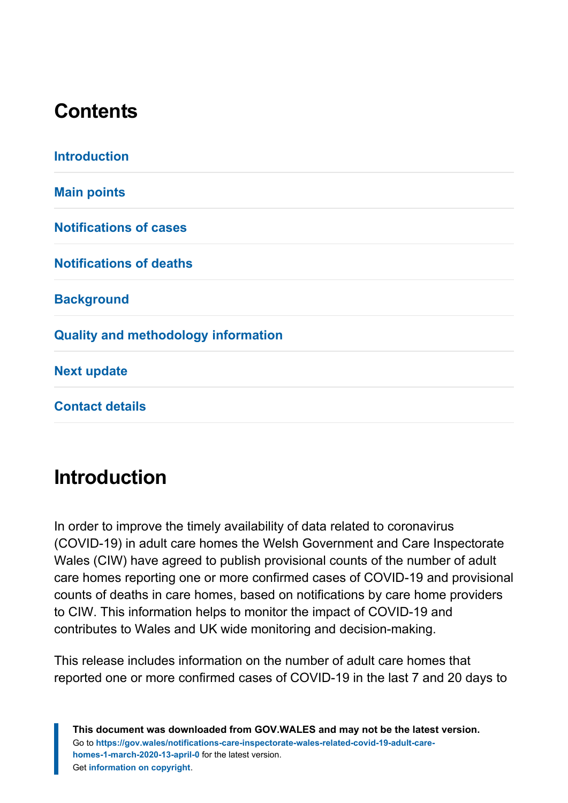# **Contents**

| <b>Introduction</b>                        |
|--------------------------------------------|
| <b>Main points</b>                         |
| <b>Notifications of cases</b>              |
| <b>Notifications of deaths</b>             |
| <b>Background</b>                          |
| <b>Quality and methodology information</b> |
| <b>Next update</b>                         |
| <b>Contact details</b>                     |

# <span id="page-1-0"></span>**Introduction**

In order to improve the timely availability of data related to coronavirus (COVID-19) in adult care homes the Welsh Government and Care Inspectorate Wales (CIW) have agreed to publish provisional counts of the number of adult care homes reporting one or more confirmed cases of COVID-19 and provisional counts of deaths in care homes, based on notifications by care home providers to CIW. This information helps to monitor the impact of COVID-19 and contributes to Wales and UK wide monitoring and decision-making.

This release includes information on the number of adult care homes that reported one or more confirmed cases of COVID-19 in the last 7 and 20 days to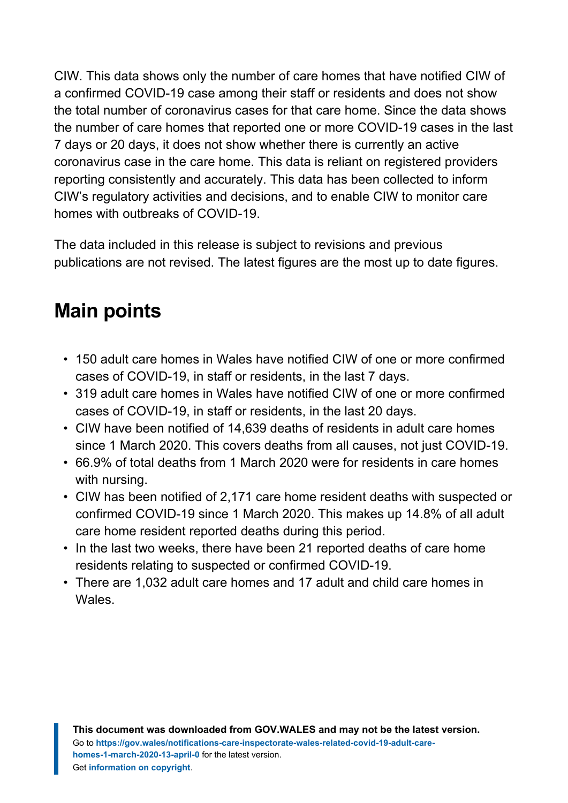CIW. This data shows only the number of care homes that have notified CIW of a confirmed COVID-19 case among their staff or residents and does not show the total number of coronavirus cases for that care home. Since the data shows the number of care homes that reported one or more COVID-19 cases in the last 7 days or 20 days, it does not show whether there is currently an active coronavirus case in the care home. This data is reliant on registered providers reporting consistently and accurately. This data has been collected to inform CIW's regulatory activities and decisions, and to enable CIW to monitor care homes with outbreaks of COVID-19.

The data included in this release is subject to revisions and previous publications are not revised. The latest figures are the most up to date figures.

# <span id="page-2-0"></span>**Main points**

- 150 adult care homes in Wales have notified CIW of one or more confirmed cases of COVID-19, in staff or residents, in the last 7 days.
- 319 adult care homes in Wales have notified CIW of one or more confirmed cases of COVID-19, in staff or residents, in the last 20 days.
- CIW have been notified of 14,639 deaths of residents in adult care homes since 1 March 2020. This covers deaths from all causes, not just COVID-19.
- 66.9% of total deaths from 1 March 2020 were for residents in care homes with nursing.
- CIW has been notified of 2,171 care home resident deaths with suspected or confirmed COVID-19 since 1 March 2020. This makes up 14.8% of all adult care home resident reported deaths during this period.
- In the last two weeks, there have been 21 reported deaths of care home residents relating to suspected or confirmed COVID-19.
- There are 1,032 adult care homes and 17 adult and child care homes in Wales.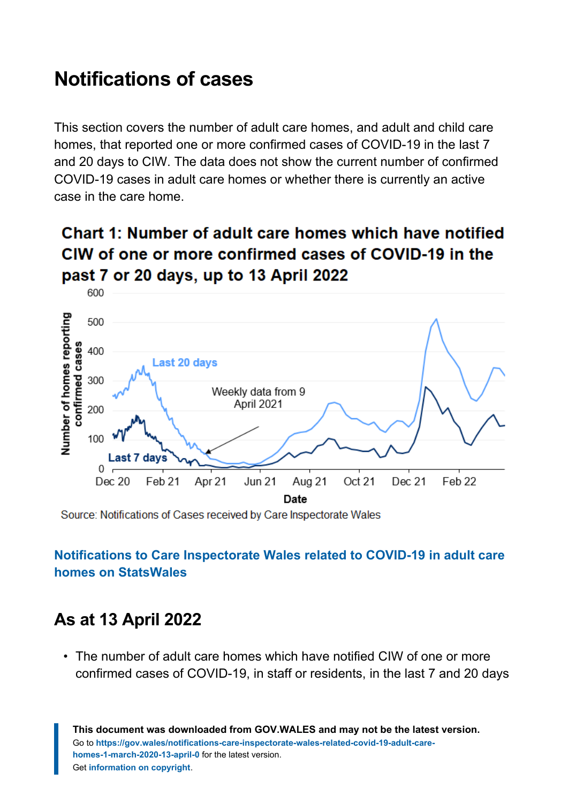# <span id="page-3-0"></span>**Notifications of cases**

This section covers the number of adult care homes, and adult and child care homes, that reported one or more confirmed cases of COVID-19 in the last 7 and 20 days to CIW. The data does not show the current number of confirmed COVID-19 cases in adult care homes or whether there is currently an active case in the care home.

### Chart 1: Number of adult care homes which have notified CIW of one or more confirmed cases of COVID-19 in the past 7 or 20 days, up to 13 April 2022



Source: Notifications of Cases received by Care Inspectorate Wales

#### **[Notifications to Care Inspectorate Wales related to COVID-19 in adult care](https://statswales.gov.wales/Catalogue/Health-and-Social-Care/Services-for-Social-Care-and-Childrens-Day-Care/notifications-to-care-inspectorate-wales-related-to-covid-19-in-adult-care-homes?_ga=2.262857870.328160882.1646637789-1086771297.1619441781) homes [on StatsWales](https://statswales.gov.wales/Catalogue/Health-and-Social-Care/Services-for-Social-Care-and-Childrens-Day-Care/notifications-to-care-inspectorate-wales-related-to-covid-19-in-adult-care-homes?_ga=2.262857870.328160882.1646637789-1086771297.1619441781)**

### **As at 13 April 2022**

• The number of adult care homes which have notified CIW of one or more confirmed cases of COVID-19, in staff or residents, in the last 7 and 20 days

**This document was downloaded from GOV.WALES and may not be the latest version.** Go to **[https://gov.wales/notifications-care-inspectorate-wales-related-covid-19-adult-care](https://gov.wales/notifications-care-inspectorate-wales-related-covid-19-adult-care-homes-1-march-2020-13-april-0)[homes-1-march-2020-13-april-0](https://gov.wales/notifications-care-inspectorate-wales-related-covid-19-adult-care-homes-1-march-2020-13-april-0)** for the latest version. Get **[information on copyright](https://gov.wales/copyright-statement)**.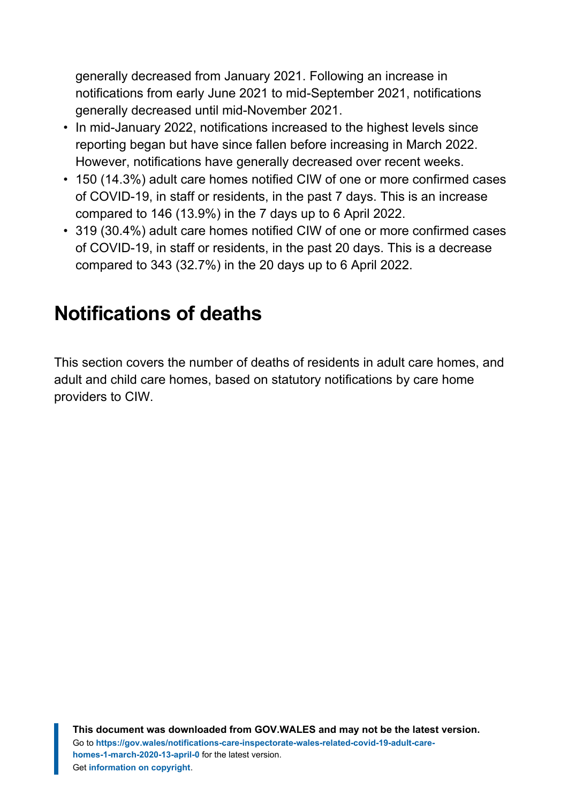generally decreased from January 2021. Following an increase in notifications from early June 2021 to mid-September 2021, notifications generally decreased until mid-November 2021.

- In mid-January 2022, notifications increased to the highest levels since reporting began but have since fallen before increasing in March 2022. However, notifications have generally decreased over recent weeks.
- 150 (14.3%) adult care homes notified CIW of one or more confirmed cases of COVID-19, in staff or residents, in the past 7 days. This is an increase compared to 146 (13.9%) in the 7 days up to 6 April 2022.
- 319 (30.4%) adult care homes notified CIW of one or more confirmed cases of COVID-19, in staff or residents, in the past 20 days. This is a decrease compared to 343 (32.7%) in the 20 days up to 6 April 2022.

# <span id="page-4-0"></span>**Notifications of deaths**

This section covers the number of deaths of residents in adult care homes, and adult and child care homes, based on statutory notifications by care home providers to CIW.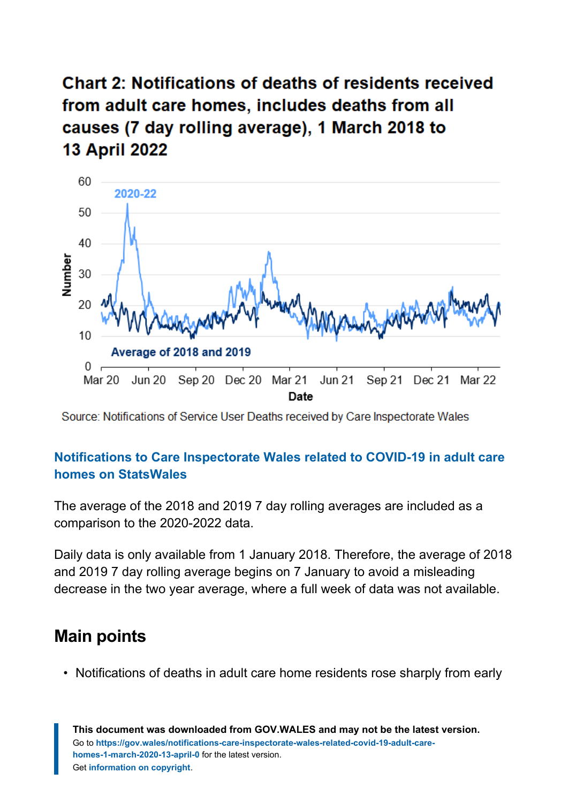**Chart 2: Notifications of deaths of residents received** from adult care homes, includes deaths from all causes (7 day rolling average), 1 March 2018 to **13 April 2022** 



Source: Notifications of Service User Deaths received by Care Inspectorate Wales

#### **[Notifications to Care Inspectorate Wales related to COVID-19 in adult care](https://statswales.gov.wales/Catalogue/Health-and-Social-Care/Services-for-Social-Care-and-Childrens-Day-Care/notifications-to-care-inspectorate-wales-related-to-covid-19-in-adult-care-homes?_ga=2.112352260.1657115505.1643008545-1086771297.1619441781) homes [on StatsWales](https://statswales.gov.wales/Catalogue/Health-and-Social-Care/Services-for-Social-Care-and-Childrens-Day-Care/notifications-to-care-inspectorate-wales-related-to-covid-19-in-adult-care-homes?_ga=2.112352260.1657115505.1643008545-1086771297.1619441781)**

The average of the 2018 and 2019 7 day rolling averages are included as a comparison to the 2020-2022 data.

Daily data is only available from 1 January 2018. Therefore, the average of 2018 and 2019 7 day rolling average begins on 7 January to avoid a misleading decrease in the two year average, where a full week of data was not available.

### **Main points**

• Notifications of deaths in adult care home residents rose sharply from early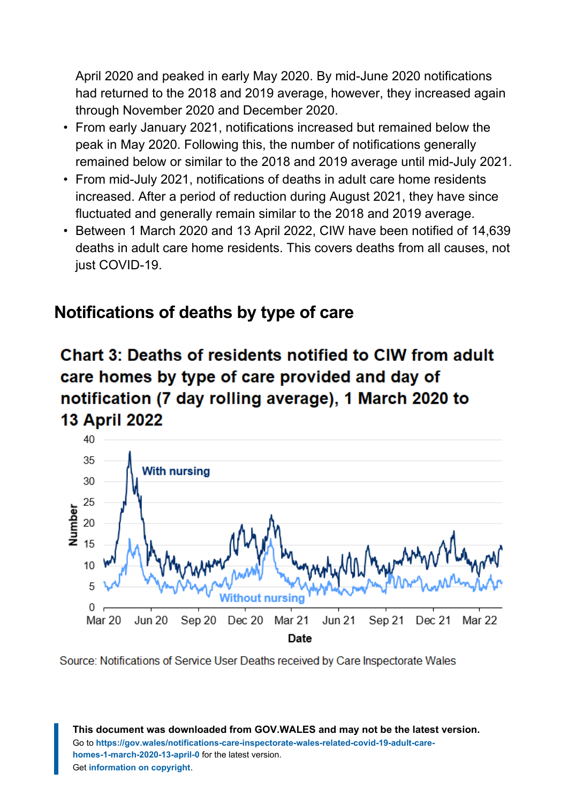April 2020 and peaked in early May 2020. By mid-June 2020 notifications had returned to the 2018 and 2019 average, however, they increased again through November 2020 and December 2020.

- From early January 2021, notifications increased but remained below the peak in May 2020. Following this, the number of notifications generally remained below or similar to the 2018 and 2019 average until mid-July 2021.
- From mid-July 2021, notifications of deaths in adult care home residents increased. After a period of reduction during August 2021, they have since fluctuated and generally remain similar to the 2018 and 2019 average.
- Between 1 March 2020 and 13 April 2022, CIW have been notified of 14,639 deaths in adult care home residents. This covers deaths from all causes, not just COVID-19.

### **Notifications of deaths by type of care**

### Chart 3: Deaths of residents notified to CIW from adult care homes by type of care provided and day of notification (7 day rolling average), 1 March 2020 to **13 April 2022**



Source: Notifications of Service User Deaths received by Care Inspectorate Wales

**This document was downloaded from GOV.WALES and may not be the latest version.** Go to **[https://gov.wales/notifications-care-inspectorate-wales-related-covid-19-adult-care](https://gov.wales/notifications-care-inspectorate-wales-related-covid-19-adult-care-homes-1-march-2020-13-april-0)[homes-1-march-2020-13-april-0](https://gov.wales/notifications-care-inspectorate-wales-related-covid-19-adult-care-homes-1-march-2020-13-april-0)** for the latest version. Get **[information on copyright](https://gov.wales/copyright-statement)**.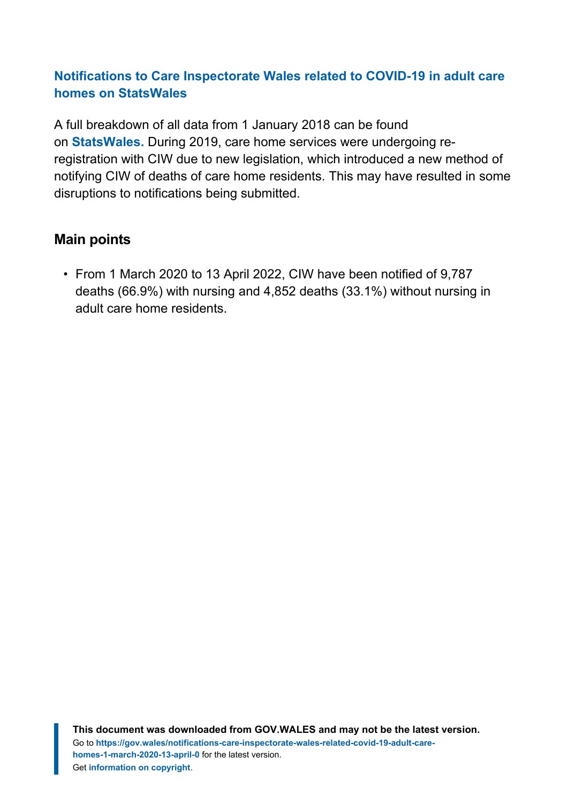#### **[Notifications to Care Inspectorate Wales related to COVID-19 in adult care](https://statswales.gov.wales/Catalogue/Health-and-Social-Care/Services-for-Social-Care-and-Childrens-Day-Care/notifications-to-care-inspectorate-wales-related-to-covid-19-in-adult-care-homes) homes [on StatsWales](https://statswales.gov.wales/Catalogue/Health-and-Social-Care/Services-for-Social-Care-and-Childrens-Day-Care/notifications-to-care-inspectorate-wales-related-to-covid-19-in-adult-care-homes)**

A full breakdown of all data from 1 January 2018 can be found on **[StatsWales.](https://statswales.gov.wales/Catalogue/Health-and-Social-Care/Services-for-Social-Care-and-Childrens-Day-Care/notifications-to-care-inspectorate-wales-related-to-covid-19-in-adult-care-homes)** During 2019, care home services were undergoing reregistration with CIW due to new legislation, which introduced a new method of notifying CIW of deaths of care home residents. This may have resulted in some disruptions to notifications being submitted.

#### **Main points**

• From 1 March 2020 to 13 April 2022, CIW have been notified of 9,787 deaths (66.9%) with nursing and 4,852 deaths (33.1%) without nursing in adult care home residents.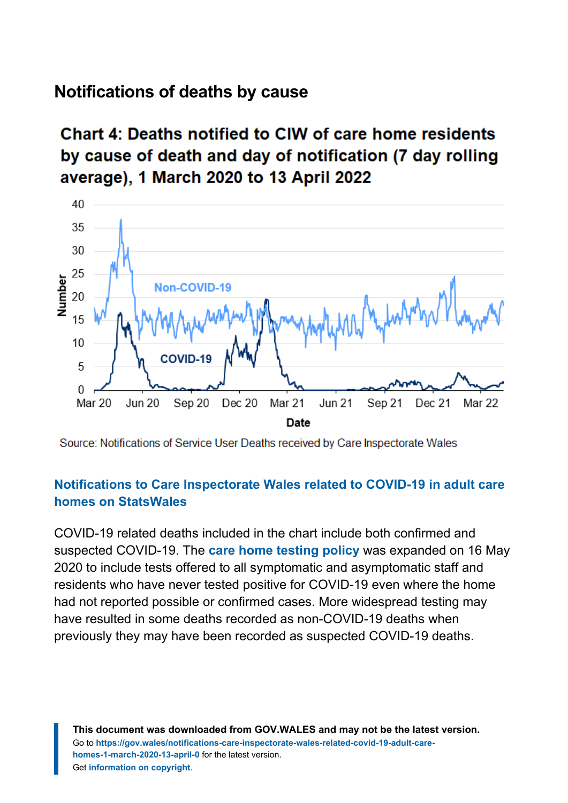#### **Notifications of deaths by cause**

### Chart 4: Deaths notified to CIW of care home residents by cause of death and day of notification (7 day rolling average), 1 March 2020 to 13 April 2022



Source: Notifications of Service User Deaths received by Care Inspectorate Wales

#### **[Notifications to Care Inspectorate Wales related to COVID-19 in adult care](https://statswales.gov.wales/Catalogue/Health-and-Social-Care/Services-for-Social-Care-and-Childrens-Day-Care/notifications-to-care-inspectorate-wales-related-to-covid-19-in-adult-care-homes?_ga=2.15823030.1657115505.1643008545-1086771297.1619441781) homes [on StatsWales](https://statswales.gov.wales/Catalogue/Health-and-Social-Care/Services-for-Social-Care-and-Childrens-Day-Care/notifications-to-care-inspectorate-wales-related-to-covid-19-in-adult-care-homes?_ga=2.15823030.1657115505.1643008545-1086771297.1619441781)**

COVID-19 related deaths included in the chart include both confirmed and suspected COVID-19. The **[care home testing](https://gov.wales/pdf-optimised/node/COVID-19) policy** was expanded on 16 May 2020 to include tests offered to all symptomatic and asymptomatic staff and residents who have never tested positive for COVID-19 even where the home had not reported possible or confirmed cases. More widespread testing may have resulted in some deaths recorded as non-COVID-19 deaths when previously they may have been recorded as suspected COVID-19 deaths.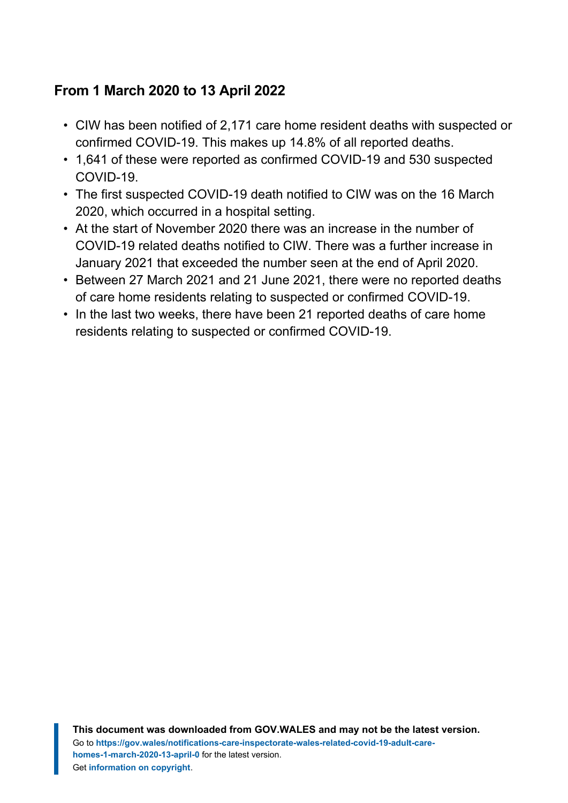#### **From 1 March 2020 to 13 April 2022**

- CIW has been notified of 2,171 care home resident deaths with suspected or confirmed COVID-19. This makes up 14.8% of all reported deaths.
- 1,641 of these were reported as confirmed COVID-19 and 530 suspected COVID-19.
- The first suspected COVID-19 death notified to CIW was on the 16 March 2020, which occurred in a hospital setting.
- At the start of November 2020 there was an increase in the number of COVID-19 related deaths notified to CIW. There was a further increase in January 2021 that exceeded the number seen at the end of April 2020.
- Between 27 March 2021 and 21 June 2021, there were no reported deaths of care home residents relating to suspected or confirmed COVID-19.
- In the last two weeks, there have been 21 reported deaths of care home residents relating to suspected or confirmed COVID-19.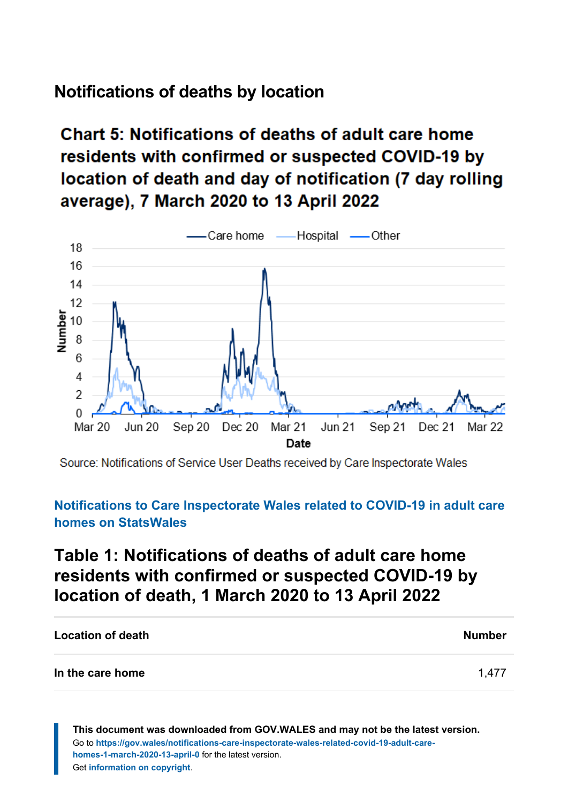### **Notifications of deaths by location**

# Chart 5: Notifications of deaths of adult care home residents with confirmed or suspected COVID-19 by location of death and day of notification (7 day rolling average), 7 March 2020 to 13 April 2022



Source: Notifications of Service User Deaths received by Care Inspectorate Wales

#### **[Notifications to Care Inspectorate Wales related to COVID-19 in adult care](https://statswales.gov.wales/Catalogue/Health-and-Social-Care/Services-for-Social-Care-and-Childrens-Day-Care/notifications-to-care-inspectorate-wales-related-to-covid-19-in-adult-care-homes?_ga=2.23659704.328160882.1646637789-1086771297.1619441781) homes [on StatsWales](https://statswales.gov.wales/Catalogue/Health-and-Social-Care/Services-for-Social-Care-and-Childrens-Day-Care/notifications-to-care-inspectorate-wales-related-to-covid-19-in-adult-care-homes?_ga=2.23659704.328160882.1646637789-1086771297.1619441781)**

### **Table 1: Notifications of deaths of adult care home residents with confirmed or suspected COVID-19 by location of death, 1 March 2020 to 13 April 2022**

| <b>Location of death</b> | <b>Number</b> |
|--------------------------|---------------|
| In the care home         | 1.477         |

**This document was downloaded from GOV.WALES and may not be the latest version.** Go to **[https://gov.wales/notifications-care-inspectorate-wales-related-covid-19-adult-care](https://gov.wales/notifications-care-inspectorate-wales-related-covid-19-adult-care-homes-1-march-2020-13-april-0)[homes-1-march-2020-13-april-0](https://gov.wales/notifications-care-inspectorate-wales-related-covid-19-adult-care-homes-1-march-2020-13-april-0)** for the latest version. Get **[information on copyright](https://gov.wales/copyright-statement)**.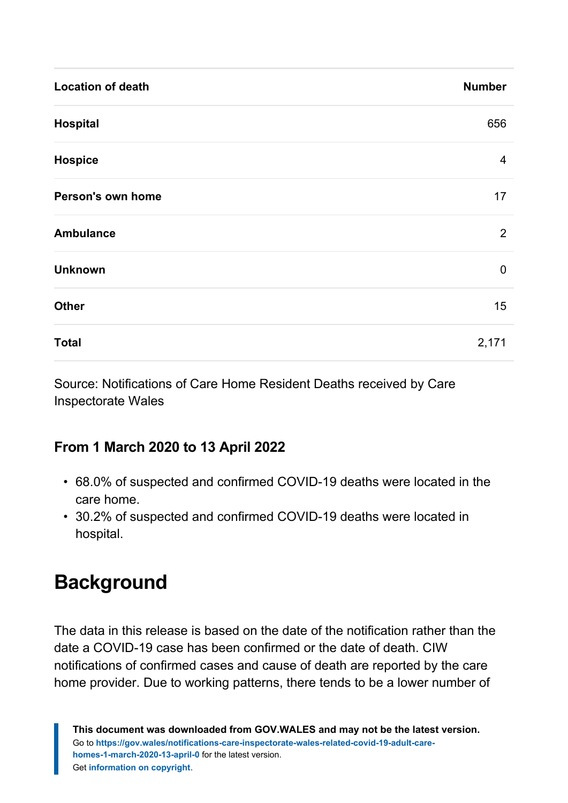| <b>Location of death</b> | <b>Number</b> |
|--------------------------|---------------|
| <b>Hospital</b>          | 656           |
| <b>Hospice</b>           | 4             |
| Person's own home        | 17            |
| <b>Ambulance</b>         | 2             |
| <b>Unknown</b>           | 0             |
| <b>Other</b>             | 15            |
| <b>Total</b>             | 2,171         |

Source: Notifications of Care Home Resident Deaths received by Care Inspectorate Wales

#### **From 1 March 2020 to 13 April 2022**

- 68.0% of suspected and confirmed COVID-19 deaths were located in the care home.
- 30.2% of suspected and confirmed COVID-19 deaths were located in hospital.

# <span id="page-11-0"></span>**Background**

The data in this release is based on the date of the notification rather than the date a COVID-19 case has been confirmed or the date of death. CIW notifications of confirmed cases and cause of death are reported by the care home provider. Due to working patterns, there tends to be a lower number of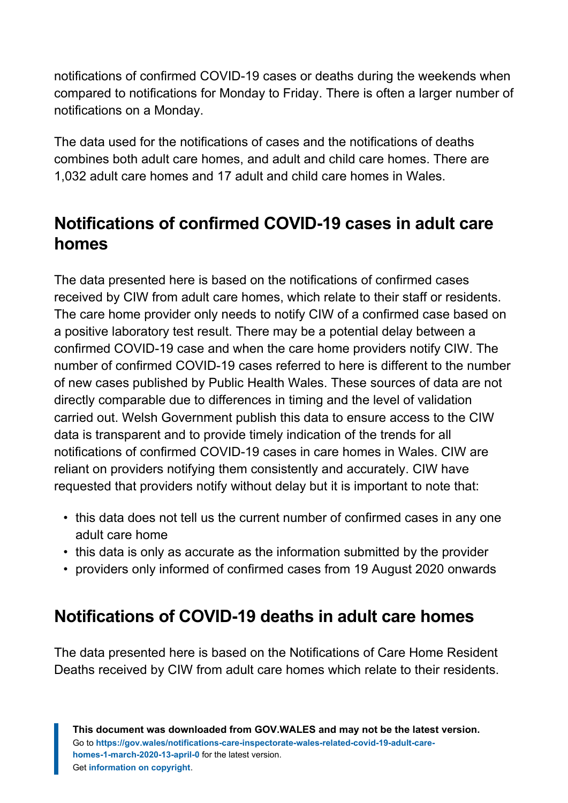notifications of confirmed COVID-19 cases or deaths during the weekends when compared to notifications for Monday to Friday. There is often a larger number of notifications on a Monday.

The data used for the notifications of cases and the notifications of deaths combines both adult care homes, and adult and child care homes. There are 1,032 adult care homes and 17 adult and child care homes in Wales.

### **Notifications of confirmed COVID-19 cases in adult care homes**

The data presented here is based on the notifications of confirmed cases received by CIW from adult care homes, which relate to their staff or residents. The care home provider only needs to notify CIW of a confirmed case based on a positive laboratory test result. There may be a potential delay between a confirmed COVID-19 case and when the care home providers notify CIW. The number of confirmed COVID-19 cases referred to here is different to the number of new cases published by Public Health Wales. These sources of data are not directly comparable due to differences in timing and the level of validation carried out. Welsh Government publish this data to ensure access to the CIW data is transparent and to provide timely indication of the trends for all notifications of confirmed COVID-19 cases in care homes in Wales. CIW are reliant on providers notifying them consistently and accurately. CIW have requested that providers notify without delay but it is important to note that:

- this data does not tell us the current number of confirmed cases in any one adult care home
- this data is only as accurate as the information submitted by the provider
- providers only informed of confirmed cases from 19 August 2020 onwards

### **Notifications of COVID-19 deaths in adult care homes**

The data presented here is based on the Notifications of Care Home Resident Deaths received by CIW from adult care homes which relate to their residents.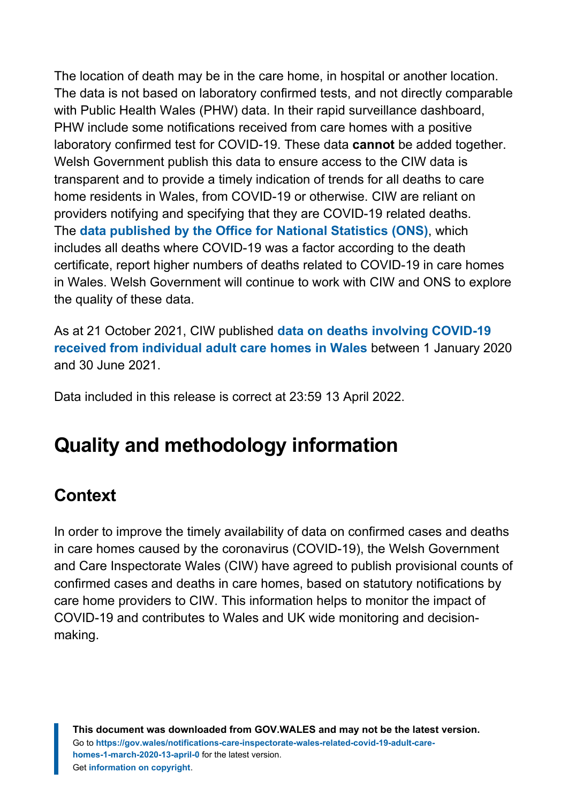The location of death may be in the care home, in hospital or another location. The data is not based on laboratory confirmed tests, and not directly comparable with Public Health Wales (PHW) data. In their rapid surveillance dashboard, PHW include some notifications received from care homes with a positive laboratory confirmed test for COVID-19. These data **cannot** be added together. Welsh Government publish this data to ensure access to the CIW data is transparent and to provide a timely indication of trends for all deaths to care home residents in Wales, from COVID-19 or otherwise. CIW are reliant on providers notifying and specifying that they are COVID-19 related deaths. The **[data published by the Office for National Statistics \(ONS\)](https://www.ons.gov.uk/peoplepopulationandcommunity/birthsdeathsandmarriages/deaths/bulletins/deathsregisteredweeklyinenglandandwalesprovisional/weekending23july2021)**, which includes all deaths where COVID-19 was a factor according to the death certificate, report higher numbers of deaths related to COVID-19 in care homes in Wales. Welsh Government will continue to work with CIW and ONS to explore the quality of these data.

As at 21 October 2021, CIW published **[data on deaths involving COVID-19](https://careinspectorate.wales/data-death-notifications-involving-covid-19) [received from individual adult care homes](https://careinspectorate.wales/data-death-notifications-involving-covid-19) in Wales** between 1 January 2020 and 30 June 2021.

Data included in this release is correct at 23:59 13 April 2022.

# <span id="page-13-0"></span>**Quality and methodology information**

### **Context**

In order to improve the timely availability of data on confirmed cases and deaths in care homes caused by the coronavirus (COVID-19), the Welsh Government and Care Inspectorate Wales (CIW) have agreed to publish provisional counts of confirmed cases and deaths in care homes, based on statutory notifications by care home providers to CIW. This information helps to monitor the impact of COVID-19 and contributes to Wales and UK wide monitoring and decisionmaking.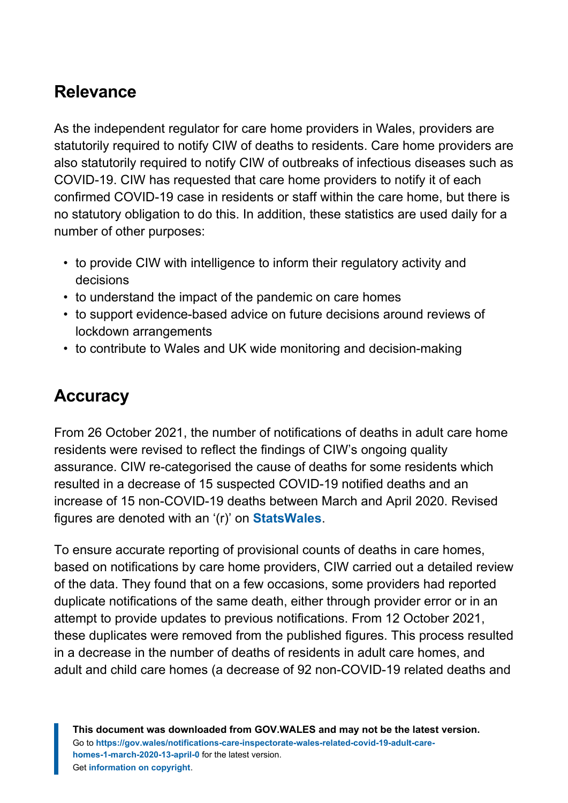### **Relevance**

As the independent regulator for care home providers in Wales, providers are statutorily required to notify CIW of deaths to residents. Care home providers are also statutorily required to notify CIW of outbreaks of infectious diseases such as COVID-19. CIW has requested that care home providers to notify it of each confirmed COVID-19 case in residents or staff within the care home, but there is no statutory obligation to do this. In addition, these statistics are used daily for a number of other purposes:

- to provide CIW with intelligence to inform their regulatory activity and decisions
- to understand the impact of the pandemic on care homes
- to support evidence-based advice on future decisions around reviews of lockdown arrangements
- to contribute to Wales and UK wide monitoring and decision-making

### **Accuracy**

From 26 October 2021, the number of notifications of deaths in adult care home residents were revised to reflect the findings of CIW's ongoing quality assurance. CIW re-categorised the cause of deaths for some residents which resulted in a decrease of 15 suspected COVID-19 notified deaths and an increase of 15 non-COVID-19 deaths between March and April 2020. Revised figures are denoted with an '(r)' on **[StatsWales](https://statswales.gov.wales/Catalogue/Health-and-Social-Care/Services-for-Social-Care-and-Childrens-Day-Care/notifications-to-care-inspectorate-wales-related-to-covid-19-in-adult-care-homes/deathsofresidentsfromadultcarehomes-by-dateofnotification-cause)**.

To ensure accurate reporting of provisional counts of deaths in care homes, based on notifications by care home providers, CIW carried out a detailed review of the data. They found that on a few occasions, some providers had reported duplicate notifications of the same death, either through provider error or in an attempt to provide updates to previous notifications. From 12 October 2021, these duplicates were removed from the published figures. This process resulted in a decrease in the number of deaths of residents in adult care homes, and adult and child care homes (a decrease of 92 non-COVID-19 related deaths and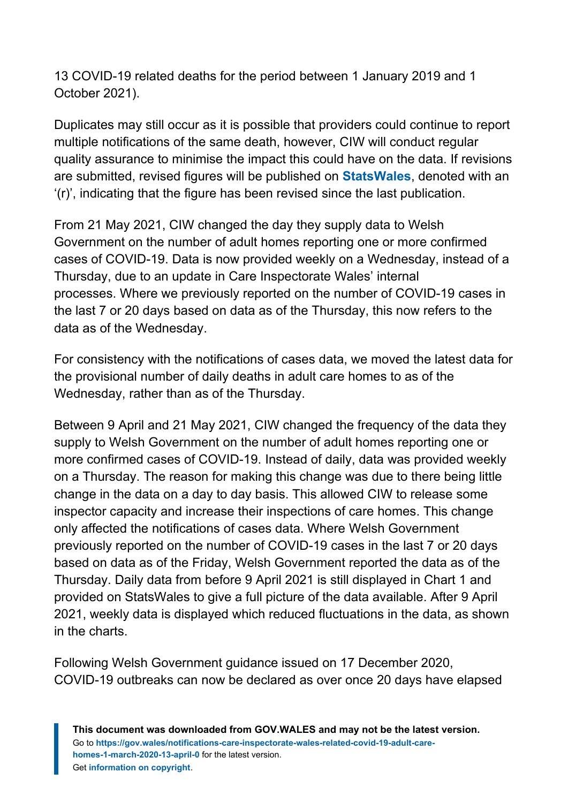13 COVID-19 related deaths for the period between 1 January 2019 and 1 October 2021).

Duplicates may still occur as it is possible that providers could continue to report multiple notifications of the same death, however, CIW will conduct regular quality assurance to minimise the impact this could have on the data. If revisions are submitted, revised figures will be published on **[StatsWales](https://statswales.gov.wales/Catalogue/Health-and-Social-Care/Services-for-Social-Care-and-Childrens-Day-Care/notifications-to-care-inspectorate-wales-related-to-covid-19-in-adult-care-homes)**, denoted with an '(r)', indicating that the figure has been revised since the last publication.

From 21 May 2021, CIW changed the day they supply data to Welsh Government on the number of adult homes reporting one or more confirmed cases of COVID-19. Data is now provided weekly on a Wednesday, instead of a Thursday, due to an update in Care Inspectorate Wales' internal processes. Where we previously reported on the number of COVID-19 cases in the last 7 or 20 days based on data as of the Thursday, this now refers to the data as of the Wednesday.

For consistency with the notifications of cases data, we moved the latest data for the provisional number of daily deaths in adult care homes to as of the Wednesday, rather than as of the Thursday.

Between 9 April and 21 May 2021, CIW changed the frequency of the data they supply to Welsh Government on the number of adult homes reporting one or more confirmed cases of COVID-19. Instead of daily, data was provided weekly on a Thursday. The reason for making this change was due to there being little change in the data on a day to day basis. This allowed CIW to release some inspector capacity and increase their inspections of care homes. This change only affected the notifications of cases data. Where Welsh Government previously reported on the number of COVID-19 cases in the last 7 or 20 days based on data as of the Friday, Welsh Government reported the data as of the Thursday. Daily data from before 9 April 2021 is still displayed in Chart 1 and provided on StatsWales to give a full picture of the data available. After 9 April 2021, weekly data is displayed which reduced fluctuations in the data, as shown in the charts.

Following Welsh Government guidance issued on 17 December 2020, COVID-19 outbreaks can now be declared as over once 20 days have elapsed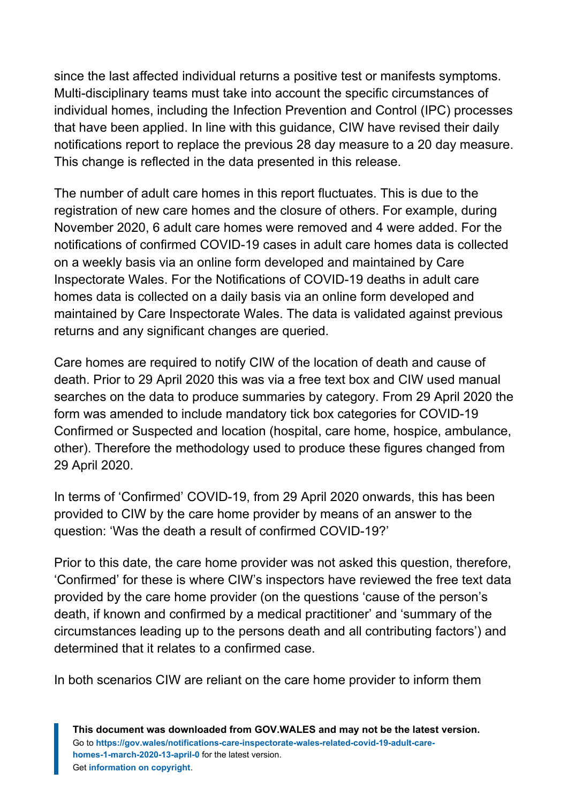since the last affected individual returns a positive test or manifests symptoms. Multi-disciplinary teams must take into account the specific circumstances of individual homes, including the Infection Prevention and Control (IPC) processes that have been applied. In line with this guidance, CIW have revised their daily notifications report to replace the previous 28 day measure to a 20 day measure. This change is reflected in the data presented in this release.

The number of adult care homes in this report fluctuates. This is due to the registration of new care homes and the closure of others. For example, during November 2020, 6 adult care homes were removed and 4 were added. For the notifications of confirmed COVID-19 cases in adult care homes data is collected on a weekly basis via an online form developed and maintained by Care Inspectorate Wales. For the Notifications of COVID-19 deaths in adult care homes data is collected on a daily basis via an online form developed and maintained by Care Inspectorate Wales. The data is validated against previous returns and any significant changes are queried.

Care homes are required to notify CIW of the location of death and cause of death. Prior to 29 April 2020 this was via a free text box and CIW used manual searches on the data to produce summaries by category. From 29 April 2020 the form was amended to include mandatory tick box categories for COVID-19 Confirmed or Suspected and location (hospital, care home, hospice, ambulance, other). Therefore the methodology used to produce these figures changed from 29 April 2020.

In terms of 'Confirmed' COVID-19, from 29 April 2020 onwards, this has been provided to CIW by the care home provider by means of an answer to the question: 'Was the death a result of confirmed COVID-19?'

Prior to this date, the care home provider was not asked this question, therefore, 'Confirmed' for these is where CIW's inspectors have reviewed the free text data provided by the care home provider (on the questions 'cause of the person's death, if known and confirmed by a medical practitioner' and 'summary of the circumstances leading up to the persons death and all contributing factors') and determined that it relates to a confirmed case.

In both scenarios CIW are reliant on the care home provider to inform them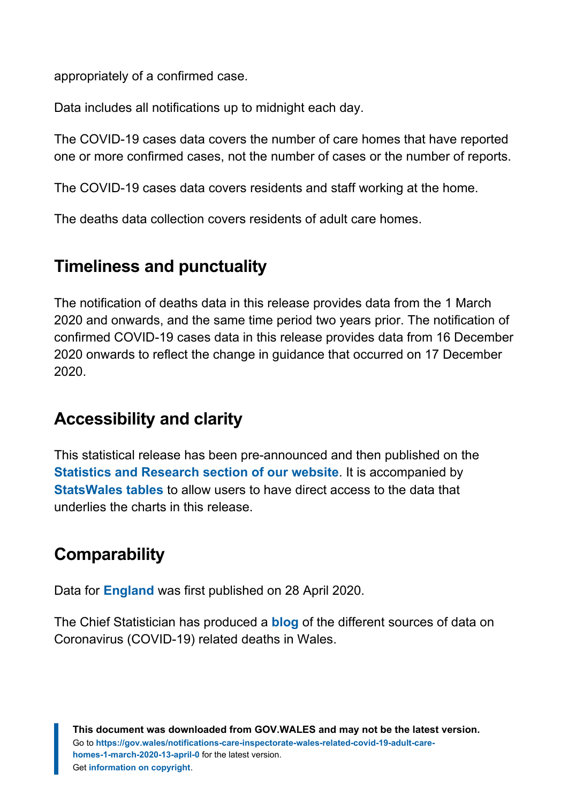appropriately of a confirmed case.

Data includes all notifications up to midnight each day.

The COVID-19 cases data covers the number of care homes that have reported one or more confirmed cases, not the number of cases or the number of reports.

The COVID-19 cases data covers residents and staff working at the home.

The deaths data collection covers residents of adult care homes.

### **Timeliness and punctuality**

The notification of deaths data in this release provides data from the 1 March 2020 and onwards, and the same time period two years prior. The notification of confirmed COVID-19 cases data in this release provides data from 16 December 2020 onwards to reflect the change in guidance that occurred on 17 December 2020.

### **Accessibility and clarity**

This statistical release has been pre-announced and then published on the **[Statistics and Research section of our website](https://gov.wales/statistics-and-research)**. It is accompanied by **[StatsWales tables](https://statswales.gov.wales/Catalogue/Health-and-Social-Care/Services-for-Social-Care-and-Childrens-Day-Care/notifications-to-care-inspectorate-wales-related-to-covid-19-in-adult-care-homes)** to allow users to have direct access to the data that underlies the charts in this release.

### **Comparability**

Data for **[England](https://www.ons.gov.uk/peoplepopulationandcommunity/birthsdeathsandmarriages/deaths/datasets/numberofdeathsincarehomesnotifiedtothecarequalitycommissionengland)** was first published on 28 April 2020.

The Chief Statistician has produced a **[blog](https://digitalanddata.blog.gov.wales/2020/05/05/chief-statisticians-update-explaining-covid-19-mortality-data-sources-for-wales/?_ga=2.200481261.295306657.1589105957-324839774.1563805122)** of the different sources of data on Coronavirus (COVID-19) related deaths in Wales.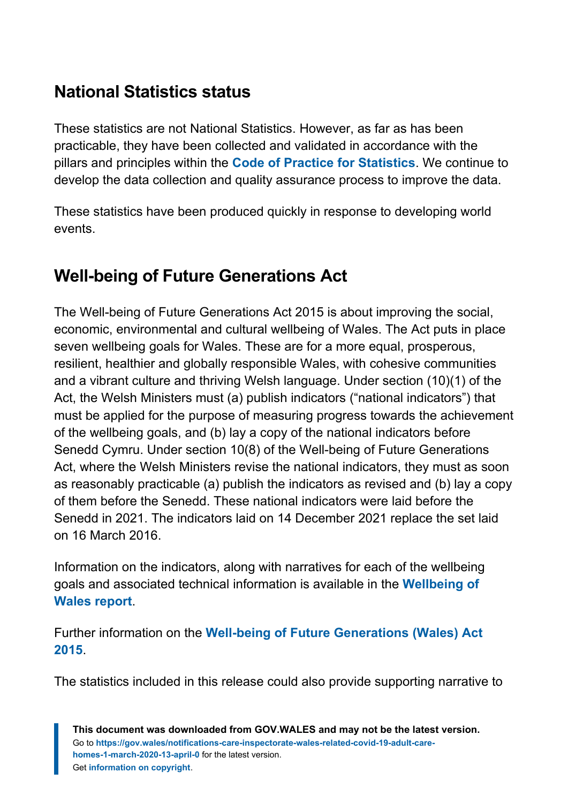### **National Statistics status**

These statistics are not National Statistics. However, as far as has been practicable, they have been collected and validated in accordance with the pillars and principles within the **[Code of Practice for Statistics](https://code.statisticsauthority.gov.uk/)**. We continue to develop the data collection and quality assurance process to improve the data.

These statistics have been produced quickly in response to developing world events.

## **Well-being of Future Generations Act**

The Well-being of Future Generations Act 2015 is about improving the social, economic, environmental and cultural wellbeing of Wales. The Act puts in place seven wellbeing goals for Wales. These are for a more equal, prosperous, resilient, healthier and globally responsible Wales, with cohesive communities and a vibrant culture and thriving Welsh language. Under section (10)(1) of the Act, the Welsh Ministers must (a) publish indicators ("national indicators") that must be applied for the purpose of measuring progress towards the achievement of the wellbeing goals, and (b) lay a copy of the national indicators before Senedd Cymru. Under section 10(8) of the Well-being of Future Generations Act, where the Welsh Ministers revise the national indicators, they must as soon as reasonably practicable (a) publish the indicators as revised and (b) lay a copy of them before the Senedd. These national indicators were laid before the Senedd in 2021. The indicators laid on 14 December 2021 replace the set laid on 16 March 2016.

Information on the indicators, along with narratives for each of the wellbeing goals and associated technical information is available in the **[Wellbeing of](https://gov.wales/wellbeing-wales) [Wales report](https://gov.wales/wellbeing-wales)**.

Further information on the **[Well-being of Future Generations \(Wales\) Act](https://gov.wales/well-being-future-generations-wales-act-2015-guidance) [2015](https://gov.wales/well-being-future-generations-wales-act-2015-guidance)**.

The statistics included in this release could also provide supporting narrative to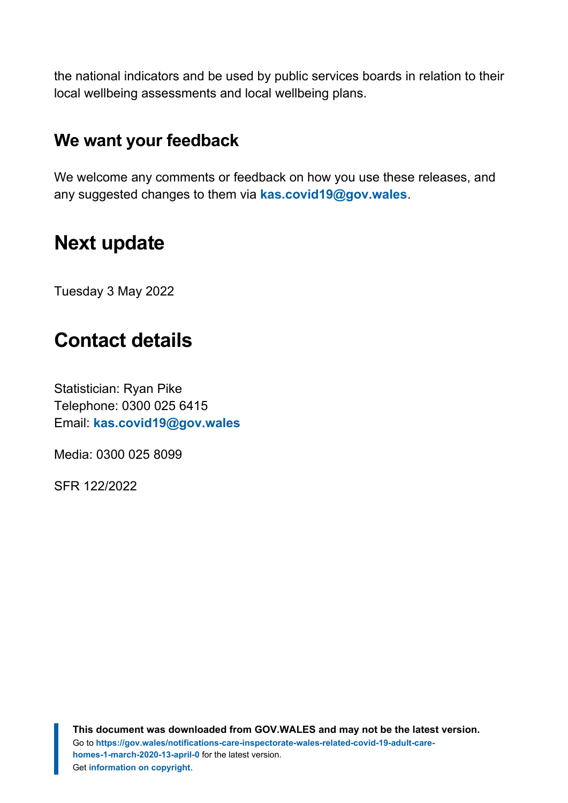the national indicators and be used by public services boards in relation to their local wellbeing assessments and local wellbeing plans.

### **We want your feedback**

We welcome any comments or feedback on how you use these releases, and any suggested changes to them via **[kas.covid19@gov.wales](mailto:KAS.COVID19@gov.wales)**.

# <span id="page-19-0"></span>**Next update**

Tuesday 3 May 2022

# <span id="page-19-1"></span>**Contact details**

Statistician: Ryan Pike Telephone: 0300 025 6415 Email: **[kas.covid19@gov.wales](mailto:KAS.COVID19@gov.wales)**

Media: 0300 025 8099

SFR 122/2022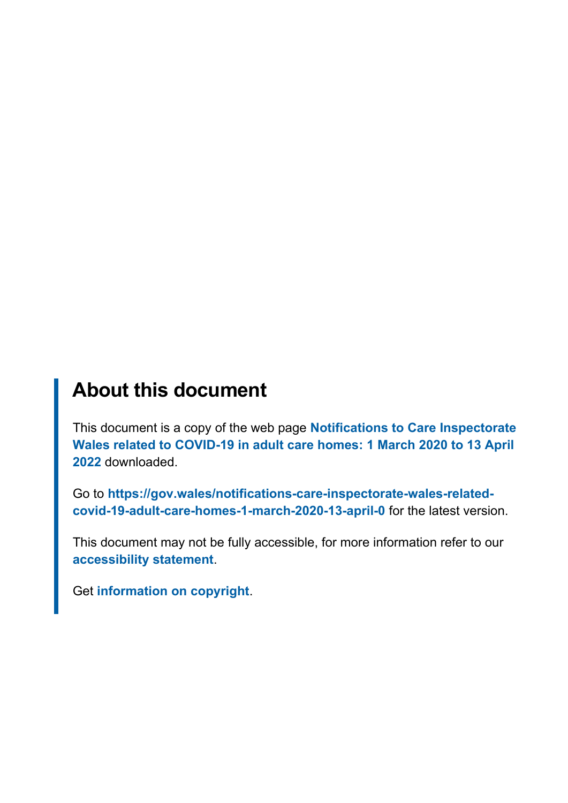# **About this document**

This document is a copy of the web page **[Notifications to Care Inspectorate](https://gov.wales/notifications-care-inspectorate-wales-related-covid-19-adult-care-homes-1-march-2020-13-april-0) [Wales related to COVID-19 in adult care homes: 1 March 2020 to 13 April](https://gov.wales/notifications-care-inspectorate-wales-related-covid-19-adult-care-homes-1-march-2020-13-april-0) [2022](https://gov.wales/notifications-care-inspectorate-wales-related-covid-19-adult-care-homes-1-march-2020-13-april-0)** downloaded.

Go to **[https://gov.wales/notifications-care-inspectorate-wales-related](https://gov.wales/notifications-care-inspectorate-wales-related-covid-19-adult-care-homes-1-march-2020-13-april-0)[covid-19-adult-care-homes-1-march-2020-13-april-0](https://gov.wales/notifications-care-inspectorate-wales-related-covid-19-adult-care-homes-1-march-2020-13-april-0)** for the latest version.

This document may not be fully accessible, for more information refer to our **[accessibility statement](https://gov.wales/accessibility-statement-govwales)**.

Get **[information on copyright](https://gov.wales/copyright-statement)**.